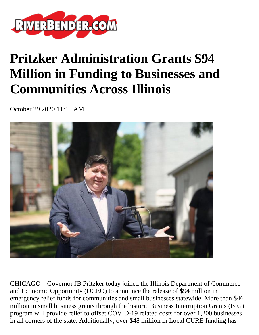

## **Pritzker Administration Grants \$94 Million in Funding to Businesses and Communities Across Illinois**

October 29 2020 11:10 AM



CHICAGO—Governor JB Pritzker today joined the Illinois Department of Commerce and Economic Opportunity (DCEO) to announce the release of \$94 million in emergency relief funds for communities and small businesses statewide. More than \$46 million in small business grants through the historic Business Interruption Grants (BIG) program will provide relief to offset COVID-19 related costs for over 1,200 businesses in all corners of the state. Additionally, over \$48 million in Local CURE funding has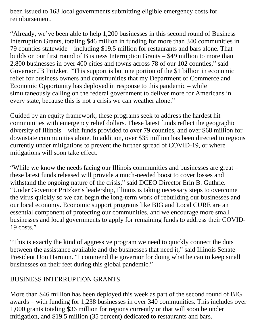been issued to 163 local governments submitting eligible emergency costs for reimbursement.

"Already, we've been able to help 1,200 businesses in this second round of Business Interruption Grants, totaling \$46 million in funding for more than 340 communities in 79 counties statewide – including \$19.5 million for restaurants and bars alone. That builds on our first round of Business Interruption Grants – \$49 million to more than 2,800 businesses in over 400 cities and towns across 78 of our 102 counties," said Governor JB Pritzker. "This support is but one portion of the \$1 billion in economic relief for business owners and communities that my Department of Commerce and Economic Opportunity has deployed in response to this pandemic – while simultaneously calling on the federal government to deliver more for Americans in every state, because this is not a crisis we can weather alone."

Guided by an equity framework, these programs seek to address the hardest hit communities with emergency relief dollars. These latest funds reflect the geographic diversity of Illinois – with funds provided to over 79 counties, and over \$68 million for downstate communities alone. In addition, over \$35 million has been directed to regions currently under mitigations to prevent the further spread of COVID-19, or where mitigations will soon take effect.

"While we know the needs facing our Illinois communities and businesses are great – these latest funds released will provide a much-needed boost to cover losses and withstand the ongoing nature of the crisis," said DCEO Director Erin B. Guthrie. "Under Governor Pritzker's leadership, Illinois is taking necessary steps to overcome the virus quickly so we can begin the long-term work of rebuilding our businesses and our local economy. Economic support programs like BIG and Local CURE are an essential component of protecting our communities, and we encourage more small businesses and local governments to apply for remaining funds to address their COVID-19 costs."

"This is exactly the kind of aggressive program we need to quickly connect the dots between the assistance available and the businesses that need it," said Illinois Senate President Don Harmon. "I commend the governor for doing what he can to keep small businesses on their feet during this global pandemic."

## BUSINESS INTERRUPTION GRANTS

More than \$46 million has been deployed this week as part of the second round of BIG awards – with funding for 1,238 businesses in over 340 communities. This includes over 1,000 grants totaling \$36 million for regions currently or that will soon be under mitigation, and \$19.5 million (35 percent) dedicated to restaurants and bars.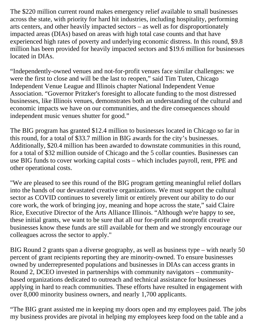The \$220 million current round makes emergency relief available to small businesses across the state, with priority for hard hit industries, including hospitality, performing arts centers, and other heavily impacted sectors – as well as for disproportionately impacted areas (DIAs) based on areas with high total case counts and that have experienced high rates of poverty and underlying economic distress. In this round, \$9.8 million has been provided for heavily impacted sectors and \$19.6 million for businesses located in DIAs.

"Independently-owned venues and not-for-profit venues face similar challenges: we were the first to close and will be the last to reopen," said Tim Tuten, Chicago Independent Venue League and Illinois chapter National Independent Venue Association. "Governor Pritzker's foresight to allocate funding to the most distressed businesses, like Illinois venues, demonstrates both an understanding of the cultural and economic impacts we have on our communities, and the dire consequences should independent music venues shutter for good."

The BIG program has granted \$12.4 million to businesses located in Chicago so far in this round, for a total of \$33.7 million in BIG awards for the city's businesses. Additionally, \$20.4 million has been awarded to downstate communities in this round, for a total of \$32 million outside of Chicago and the 5 collar counties. Businesses can use BIG funds to cover working capital costs – which includes payroll, rent, PPE and other operational costs.

"We are pleased to see this round of the BIG program getting meaningful relief dollars into the hands of our devastated creative organizations. We must support the cultural sector as COVID continues to severely limit or entirely prevent our ability to do our core work, the work of bringing joy, meaning and hope across the state," said Claire Rice, Executive Director of the Arts Alliance Illinois. "Although we're happy to see, these initial grants, we want to be sure that all our for-profit and nonprofit creative businesses know these funds are still available for them and we strongly encourage our colleagues across the sector to apply."

BIG Round 2 grants span a diverse geography, as well as business type – with nearly 50 percent of grant recipients reporting they are minority-owned. To ensure businesses owned by underrepresented populations and businesses in DIAs can access grants in Round 2, DCEO invested in partnerships with community navigators – communitybased organizations dedicated to outreach and technical assistance for businesses applying in hard to reach communities. These efforts have resulted in engagement with over 8,000 minority business owners, and nearly 1,700 applicants.

"The BIG grant assisted me in keeping my doors open and my employees paid. The jobs my business provides are pivotal in helping my employees keep food on the table and a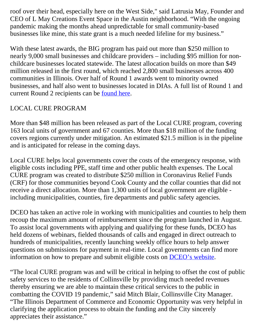roof over their head, especially here on the West Side," said Latrusia May, Founder and CEO of L May Creations Event Space in the Austin neighborhood. "With the ongoing pandemic making the months ahead unpredictable for small community-based businesses like mine, this state grant is a much needed lifeline for my business."

With these latest awards, the BIG program has paid out more than \$250 million to nearly 9,000 small businesses and childcare providers – including \$95 million for nonchildcare businesses located statewide. The latest allocation builds on more than \$49 million released in the first round, which reached 2,800 small businesses across 400 communities in Illinois. Over half of Round 1 awards went to minority owned businesses, and half also went to businesses located in DIAs. A full list of Round 1 and current Round 2 recipients can be [found here.](https://www2.illinois.gov/dceo/SmallBizAssistance/Pages/C19DisadvantagedBusGrants.aspx)

## LOCAL CURE PROGRAM

More than \$48 million has been released as part of the Local CURE program, covering 163 local units of government and 67 counties. More than \$18 million of the funding covers regions currently under mitigation. An estimated \$21.5 million is in the pipeline and is anticipated for release in the coming days.

Local CURE helps local governments cover the costs of the emergency response, with eligible costs including PPE, staff time and other public health expenses. The Local CURE program was created to distribute \$250 million in Coronavirus Relief Funds (CRF) for those communities beyond Cook County and the collar counties that did not receive a direct allocation. More than 1,300 units of local government are eligible including municipalities, counties, fire departments and public safety agencies.

DCEO has taken an active role in working with municipalities and counties to help them recoup the maximum amount of reimbursement since the program launched in August. To assist local governments with applying and qualifying for these funds, DCEO has held dozens of webinars, fielded thousands of calls and engaged in direct outreach to hundreds of municipalities, recently launching weekly office hours to help answer questions on submissions for payment in real-time. Local governments can find more information on how to prepare and submit eligible costs on **DCEO**'s website.

"The local CURE program was and will be critical in helping to offset the cost of public safety services to the residents of Collinsville by providing much needed revenues thereby ensuring we are able to maintain these critical services to the public in combatting the COVID 19 pandemic," said Mitch Blair, Collinsville City Manager. "The Illinois Department of Commerce and Economic Opportunity was very helpful in clarifying the application process to obtain the funding and the City sincerely appreciates their assistance."